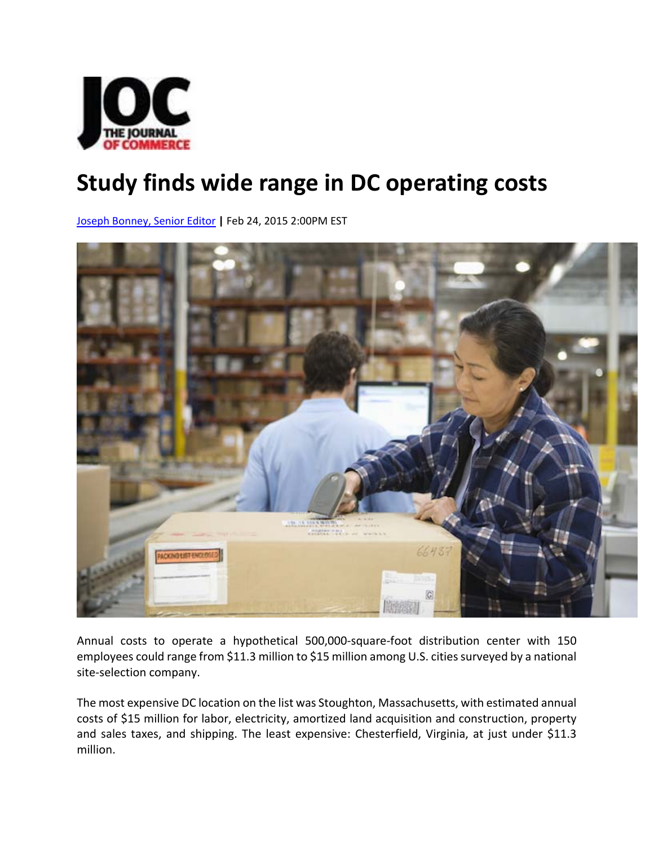

## **Study finds wide range in DC operating costs**

Joseph Bonney, Senior Editor **|** Feb 24, 2015 2:00PM EST



Annual costs to operate a hypothetical 500,000‐square‐foot distribution center with 150 employees could range from \$11.3 million to \$15 million among U.S. cities surveyed by a national site‐selection company.

The most expensive DC location on the list was Stoughton, Massachusetts, with estimated annual costs of \$15 million for labor, electricity, amortized land acquisition and construction, property and sales taxes, and shipping. The least expensive: Chesterfield, Virginia, at just under \$11.3 million.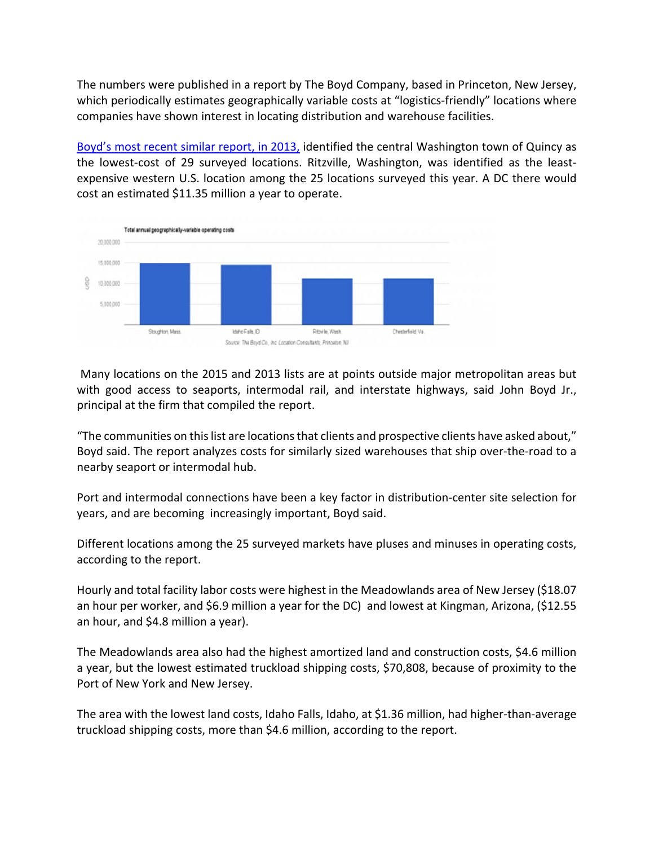The numbers were published in a report by The Boyd Company, based in Princeton, New Jersey, which periodically estimates geographically variable costs at "logistics-friendly" locations where companies have shown interest in locating distribution and warehouse facilities.

Boyd's most recent similar report, in 2013, identified the central Washington town of Quincy as the lowest-cost of 29 surveyed locations. Ritzville, Washington, was identified as the leastexpensive western U.S. location among the 25 locations surveyed this year. A DC there would cost an estimated \$11.35 million a year to operate.



Many locations on the 2015 and 2013 lists are at points outside major metropolitan areas but with good access to seaports, intermodal rail, and interstate highways, said John Boyd Jr., principal at the firm that compiled the report.

"The communities on thislist are locationsthat clients and prospective clients have asked about," Boyd said. The report analyzes costs for similarly sized warehouses that ship over‐the‐road to a nearby seaport or intermodal hub.

Port and intermodal connections have been a key factor in distribution‐center site selection for years, and are becoming increasingly important, Boyd said.

Different locations among the 25 surveyed markets have pluses and minuses in operating costs, according to the report.

Hourly and total facility labor costs were highest in the Meadowlands area of New Jersey (\$18.07 an hour per worker, and \$6.9 million a year for the DC) and lowest at Kingman, Arizona, (\$12.55 an hour, and \$4.8 million a year).

The Meadowlands area also had the highest amortized land and construction costs, \$4.6 million a year, but the lowest estimated truckload shipping costs, \$70,808, because of proximity to the Port of New York and New Jersey.

The area with the lowest land costs, Idaho Falls, Idaho, at \$1.36 million, had higher‐than‐average truckload shipping costs, more than \$4.6 million, according to the report.